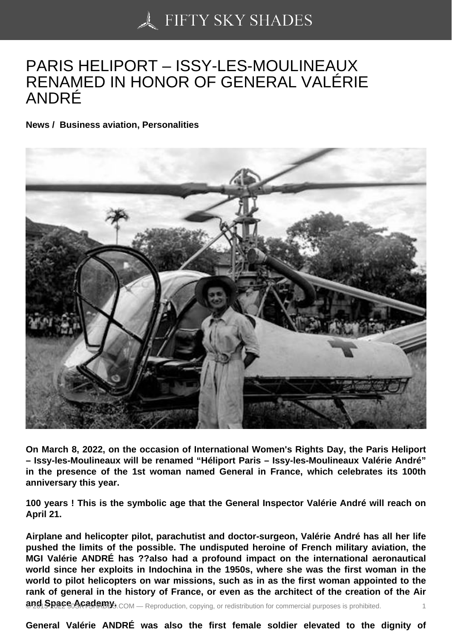## [PARIS HELIPORT – IS](https://50skyshades.com)SY-LES-MOULINEAUX RENAMED IN HONOR OF GENERAL VALÉRIE ANDRÉ

News / Business aviation, Personalities

On March 8, 2022, on the occasion of International Women's Rights Day, the Paris Heliport – Issy-les-Moulineaux will be renamed "Héliport Paris – Issy-les-Moulineaux Valérie André" in the presence of the 1st woman named General in France, which celebrates its 100th anniversary this year.

100 years ! This is the symbolic age that the General Inspector Valérie André will reach on April 21.

Airplane and helicopter pilot, parachutist and doctor-surgeon, Valérie André has all her life pushed the limits of the possible. The undisputed heroine of French military aviation, the MGI Valérie ANDRÉ has ??also had a profound impact on the international aeronautical world since her exploits in Indochina in the 1950s, where she was the first woman in the world to pilot helicopters on war missions, such as in as the first woman appointed to the rank of general in the history of France, or even as the architect of the creation of the Air and<sub>1</sub>Space Academy Es.com — Reproduction, copying, or redistribution for commercial purposes is prohibited.

General Valérie ANDRÉ was also the first female soldier elevated to the dignity of